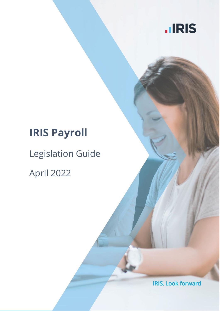

## **IRIS Payroll**

# Legislation Guide

April 2022

**IRIS. Look forward**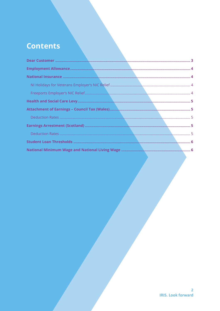## **Contents**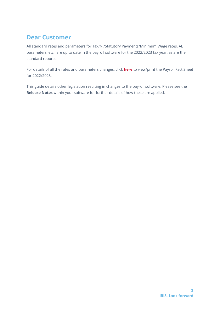## <span id="page-2-0"></span>**Dear Customer**

All standard rates and parameters for Tax/NI/Statutory Payments/Minimum Wage rates, AE parameters, etc., are up to date in the payroll software for the 2022/2023 tax year, as are the standard reports.

For details of all the rates and parameters changes, click **[here](https://www.iris.co.uk/support/payroll-legislation/payroll-legislation/)** to view/print the Payroll Fact Sheet for 2022/2023.

This guide details other legislation resulting in changes to the payroll software. Please see the **Release Notes** within your software for further details of how these are applied.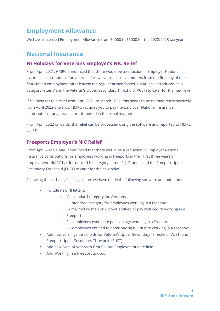## <span id="page-3-0"></span>**Employment Allowance**

We have increased Employment Allowance from £4000 to £5000 for the 2022/2023 tax year.

#### <span id="page-3-1"></span>**National Insurance**

#### <span id="page-3-2"></span>**NI Holidays for Veterans Employer's NIC Relief**

From April 2021, HMRC announced that there would be a reduction in Employer National Insurance contributions for veterans for twelve consecutive months from the first day of their first civilian employment after leaving the regular armed forces. HMRC has introduced an NI category letter V and the Veteran's Upper Secondary Threshold (VUST) to cater for the new relief.

If claiming for this relief from April 2021 to March 2022, this needs to be claimed retrospectively from April 2022 onwards. HMRC requires you to pay the Employer National Insurance contributions for veterans for this period in the usual manner.

From April 2022 onwards, the relief can be processed using the software and reported to HMRC via RTI.

#### <span id="page-3-3"></span>**Freeports Employer's NIC Relief**

From April 2022, HMRC announced that there would be a reduction in Employer National Insurance contributions for employees working in freeports in their first three years of employment. HMRC has introduced NI category letters F, I, S, and L and the Freeport Upper Secondary Threshold (FUST) to cater for the new relief.

Following these changes in legislation, we have made the following software amendments:

- Include new NI letters:
	- o V standard category for Veterans
	- o F standard category for employees working in a Freeport
	- o I married women or widows entitled to pay reduced NI working in a Freeport
	- o S employees over state pension age working in a Freeport
	- o L employees entitled to defer paying full NI rate working in a Freeport
- Add new earnings thresholds for Veteran's Upper Secondary Threshold (VUST) and Freeport Upper Secondary Threshold (FUST)
- Add new Date of Veteran's First Civilian Employment date field
- Add Working in a Freeport tick box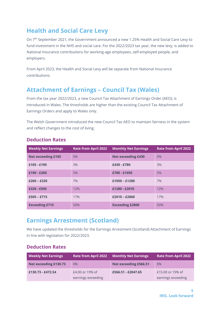## <span id="page-4-0"></span>**Health and Social Care Levy**

On 7<sup>th</sup> September 2021, the Government announced a new 1.25% Health and Social Care Levy to fund investment in the NHS and social care. For the 2022/2023 tax year, the new levy; is added to National Insurance contributions for working-age employees, self-employed people, and employers.

From April 2023, the Health and Social Levy will be separate from National Insurance contributions.

#### <span id="page-4-1"></span>**Attachment of Earnings – Council Tax (Wales)**

From the tax year 2022/2023, a new Council Tax Attachment of Earnings Order (AEO); is introduced in Wales. The thresholds are higher than the existing Council Tax Attachment of Earnings Orders and apply to Wales only.

The Welsh Government introduced the new Council Tax AEO to maintain fairness in the system and reflect changes to the cost of living.

| <b>Weekly Net Earnings</b> | <b>Rate from April 2022</b> | <b>Monthly Net Earnings</b> | <b>Rate from April 2022</b> |
|----------------------------|-----------------------------|-----------------------------|-----------------------------|
| <b>Not exceeding £105</b>  | $0\%$                       | <b>Not exceeding £430</b>   | 0%                          |
| £105 - £190                | 3%                          | £430 - £780                 | 3%                          |
| £190 - £260                | 5%                          | £780 - £1050                | 5%                          |
| $£260 - £320$              | 7%                          | $£1050 - £1280$             | 7%                          |
| £320 - £505                | 12%                         | £1280 - £2010               | 12%                         |
| $£505 - £715$              | 17%                         | $£2010 - £2860$             | 17%                         |
| <b>Exceeding £715</b>      | 50%                         | <b>Exceeding £2860</b>      | 50%                         |

#### <span id="page-4-2"></span>**Deduction Rates**

#### <span id="page-4-3"></span>**Earnings Arrestment (Scotland)**

We have updated the thresholds for the Earnings Arrestment (Scotland) Attachment of Earnings in line with legislation for 2022/2023.

#### <span id="page-4-4"></span>**Deduction Rates**

| <b>Weekly Net Earnings</b> | <b>Rate from April 2022</b>           | <b>Monthly Net Earnings</b> | <b>Rate from April 2022</b>            |
|----------------------------|---------------------------------------|-----------------------------|----------------------------------------|
| Not exceeding £130.73      | $0\%$                                 | Not exceeding £566.51       | $0\%$                                  |
| £130.73 - £472.54          | £4.00 or 19% of<br>earnings exceeding | £566.51 - £2047.65          | £15,00 or 19% of<br>earnings exceeding |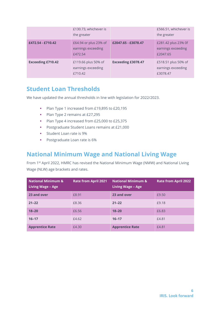|                          | £130.73, whichever is<br>the greater                   |                           | £566.51, whichever is<br>the greater                  |
|--------------------------|--------------------------------------------------------|---------------------------|-------------------------------------------------------|
| £472.54 - £710.42        | £64.94 or plus 23% of<br>earnings exceeding<br>£472.54 | £2047.65 - £3078.47       | £281.42 plus 23% 0f<br>earnings exceeding<br>£2047.65 |
| <b>Exceeding £710.42</b> | £119.66 plus 50% of<br>earnings exceeding<br>£710.42   | <b>Exceeding £3078.47</b> | £518.51 plus 50% of<br>earnings exceeding<br>£3078.47 |

### <span id="page-5-0"></span>**Student Loan Thresholds**

We have updated the annual thresholds in line with legislation for 2022/2023.

- Plan Type 1 increased from £19,895 to £20,195
- Plan Type 2 remains at £27,295
- Plan Type 4 increased from £25,000 to £25,375
- Postgraduate Student Loans remains at £21,000
- **Student Loan rate is 9%**
- **Postgraduate Loan rate is 6%**

#### <span id="page-5-1"></span>**National Minimum Wage and National Living Wage**

From 1st April 2022, HMRC has revised the National Minimum Wage (NMW) and National Living Wage (NLW) age brackets and rates.

| <b>National Minimum &amp;</b><br><b>Living Wage - Age</b> | <b>Rate from April 2021</b> | <b>National Minimum &amp;</b><br>Living Wage - Age | <b>Rate from April 2022</b> |
|-----------------------------------------------------------|-----------------------------|----------------------------------------------------|-----------------------------|
| 23 and over                                               | £8.91                       | 23 and over                                        | £9.50                       |
| $21 - 22$                                                 | £8.36                       | $21 - 22$                                          | £9.18                       |
| $18 - 20$                                                 | £6.56                       | $18 - 20$                                          | £6.83                       |
| $16 - 17$                                                 | £4.62                       | $16 - 17$                                          | £4.81                       |
| <b>Apprentice Rate</b>                                    | £4.30                       | <b>Apprentice Rate</b>                             | £4.81                       |